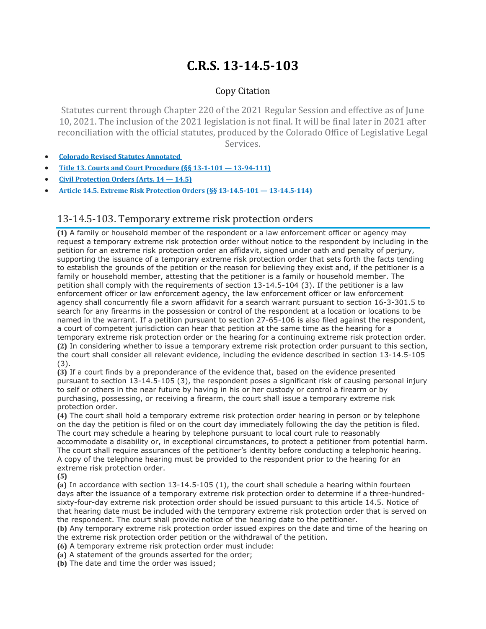## **C.R.S. 13-14.5-103**

## Copy Citation

Statutes current through Chapter 220 of the 2021 Regular Session and effective as of June 10, 2021. The inclusion of the 2021 legislation is not final. It will be final later in 2021 after reconciliation with the official statutes, produced by the Colorado Office of Legislative Legal Services.

- **Colorado Revised Statutes [Annotated](https://advance.lexis.com/documentpage/?pdmfid=1000516&crid=b3865108-edea-4783-a8c2-40cb0119616f&pdistocdocslideraccess=true&config=014FJAAyNGJkY2Y4Zi1mNjgyLTRkN2YtYmE4OS03NTYzNzYzOTg0OGEKAFBvZENhdGFsb2d592qv2Kywlf8caKqYROP5&pddocfullpath=%2Fshared%2Fdocument%2Fstatutes-legislation%2Furn%3AcontentItem%3A61P5-WRN1-DYDC-J032-00008-00&pdcomponentid=234177&pdtocnodeidentifier=AANAADAACAAD&ecomp=sssdkkk&prid=9fd6fe3f-cff5-47e4-9ac2-1b49127d4099)**
- **Title 13. Courts and Court Procedure (§§ 13-1-101 — [13-94-111\)](https://advance.lexis.com/documentpage/?pdmfid=1000516&crid=b3865108-edea-4783-a8c2-40cb0119616f&pdistocdocslideraccess=true&config=014FJAAyNGJkY2Y4Zi1mNjgyLTRkN2YtYmE4OS03NTYzNzYzOTg0OGEKAFBvZENhdGFsb2d592qv2Kywlf8caKqYROP5&pddocfullpath=%2Fshared%2Fdocument%2Fstatutes-legislation%2Furn%3AcontentItem%3A61P5-WRN1-DYDC-J032-00008-00&pdcomponentid=234177&pdtocnodeidentifier=AANAADAACAAD&ecomp=sssdkkk&prid=9fd6fe3f-cff5-47e4-9ac2-1b49127d4099)**
- **Civil [Protection](https://advance.lexis.com/documentpage/?pdmfid=1000516&crid=b3865108-edea-4783-a8c2-40cb0119616f&pdistocdocslideraccess=true&config=014FJAAyNGJkY2Y4Zi1mNjgyLTRkN2YtYmE4OS03NTYzNzYzOTg0OGEKAFBvZENhdGFsb2d592qv2Kywlf8caKqYROP5&pddocfullpath=%2Fshared%2Fdocument%2Fstatutes-legislation%2Furn%3AcontentItem%3A61P5-WRN1-DYDC-J032-00008-00&pdcomponentid=234177&pdtocnodeidentifier=AANAADAACAAD&ecomp=sssdkkk&prid=9fd6fe3f-cff5-47e4-9ac2-1b49127d4099) Orders (Arts. 14 — 14.5)**
- **Article 14.5. Extreme Risk Protection Orders (§§ 13-14.5-101 — [13-14.5-114\)](https://advance.lexis.com/documentpage/?pdmfid=1000516&crid=b3865108-edea-4783-a8c2-40cb0119616f&pdistocdocslideraccess=true&config=014FJAAyNGJkY2Y4Zi1mNjgyLTRkN2YtYmE4OS03NTYzNzYzOTg0OGEKAFBvZENhdGFsb2d592qv2Kywlf8caKqYROP5&pddocfullpath=%2Fshared%2Fdocument%2Fstatutes-legislation%2Furn%3AcontentItem%3A61P5-WRN1-DYDC-J032-00008-00&pdcomponentid=234177&pdtocnodeidentifier=AANAADAACAAD&ecomp=sssdkkk&prid=9fd6fe3f-cff5-47e4-9ac2-1b49127d4099)**

## 13-14.5-103. Temporary extreme risk protection orders

**(1)** A family or household member of the respondent or a law enforcement officer or agency may request a temporary extreme risk protection order without notice to the respondent by including in the petition for an extreme risk protection order an affidavit, signed under oath and penalty of perjury, supporting the issuance of a temporary extreme risk protection order that sets forth the facts tending to establish the grounds of the petition or the reason for believing they exist and, if the petitioner is a family or household member, attesting that the petitioner is a family or household member. The petition shall comply with the requirements of section 13-14.5-104 (3). If the petitioner is a law enforcement officer or law enforcement agency, the law enforcement officer or law enforcement agency shall concurrently file a sworn affidavit for a search warrant pursuant to section 16-3-301.5 to search for any firearms in the possession or control of the respondent at a location or locations to be named in the warrant. If a petition pursuant to section 27-65-106 is also filed against the respondent, a court of competent jurisdiction can hear that petition at the same time as the hearing for a temporary extreme risk protection order or the hearing for a continuing extreme risk protection order. **(2)** In considering whether to issue a temporary extreme risk protection order pursuant to this section, the court shall consider all relevant evidence, including the evidence described in section 13-14.5-105 (3).

**(3)** If a court finds by a preponderance of the evidence that, based on the evidence presented pursuant to section 13-14.5-105 (3), the respondent poses a significant risk of causing personal injury to self or others in the near future by having in his or her custody or control a firearm or by purchasing, possessing, or receiving a firearm, the court shall issue a temporary extreme risk protection order.

**(4)** The court shall hold a temporary extreme risk protection order hearing in person or by telephone on the day the petition is filed or on the court day immediately following the day the petition is filed. The court may schedule a hearing by telephone pursuant to local court rule to reasonably accommodate a disability or, in exceptional circumstances, to protect a petitioner from potential harm. The court shall require assurances of the petitioner's identity before conducting a telephonic hearing. A copy of the telephone hearing must be provided to the respondent prior to the hearing for an extreme risk protection order.

**(5)**

**(a)** In accordance with section 13-14.5-105 (1), the court shall schedule a hearing within fourteen days after the issuance of a temporary extreme risk protection order to determine if a three-hundredsixty-four-day extreme risk protection order should be issued pursuant to this article 14.5. Notice of that hearing date must be included with the temporary extreme risk protection order that is served on the respondent. The court shall provide notice of the hearing date to the petitioner.

**(b)** Any temporary extreme risk protection order issued expires on the date and time of the hearing on the extreme risk protection order petition or the withdrawal of the petition.

**(6)** A temporary extreme risk protection order must include:

**(a)** A statement of the grounds asserted for the order;

**(b)** The date and time the order was issued;